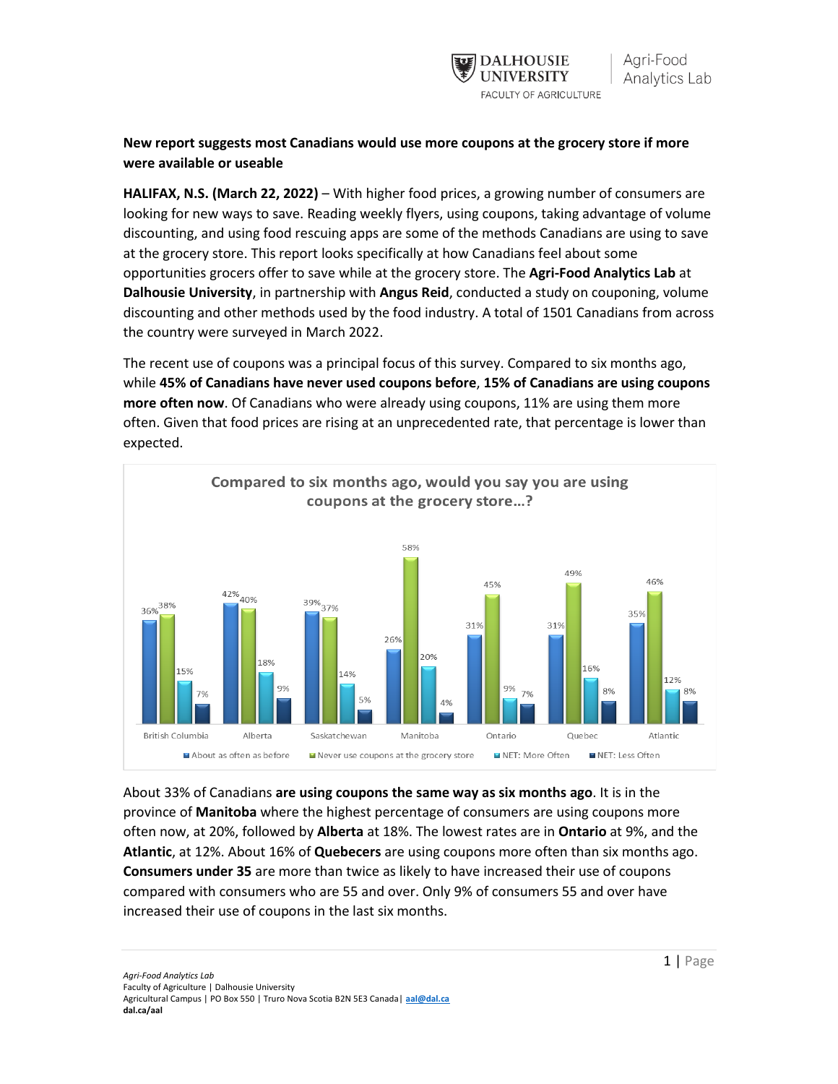

## **New report suggests most Canadians would use more coupons at the grocery store if more were available or useable**

**HALIFAX, N.S. (March 22, 2022)** – With higher food prices, a growing number of consumers are looking for new ways to save. Reading weekly flyers, using coupons, taking advantage of volume discounting, and using food rescuing apps are some of the methods Canadians are using to save at the grocery store. This report looks specifically at how Canadians feel about some opportunities grocers offer to save while at the grocery store. The **Agri-Food Analytics Lab** at **Dalhousie University**, in partnership with **Angus Reid**, conducted a study on couponing, volume discounting and other methods used by the food industry. A total of 1501 Canadians from across the country were surveyed in March 2022.

The recent use of coupons was a principal focus of this survey. Compared to six months ago, while **45% of Canadians have never used coupons before**, **15% of Canadians are using coupons more often now**. Of Canadians who were already using coupons, 11% are using them more often. Given that food prices are rising at an unprecedented rate, that percentage is lower than expected.



About 33% of Canadians **are using coupons the same way as six months ago**. It is in the province of **Manitoba** where the highest percentage of consumers are using coupons more often now, at 20%, followed by **Alberta** at 18%. The lowest rates are in **Ontario** at 9%, and the **Atlantic**, at 12%. About 16% of **Quebecers** are using coupons more often than six months ago. **Consumers under 35** are more than twice as likely to have increased their use of coupons compared with consumers who are 55 and over. Only 9% of consumers 55 and over have increased their use of coupons in the last six months.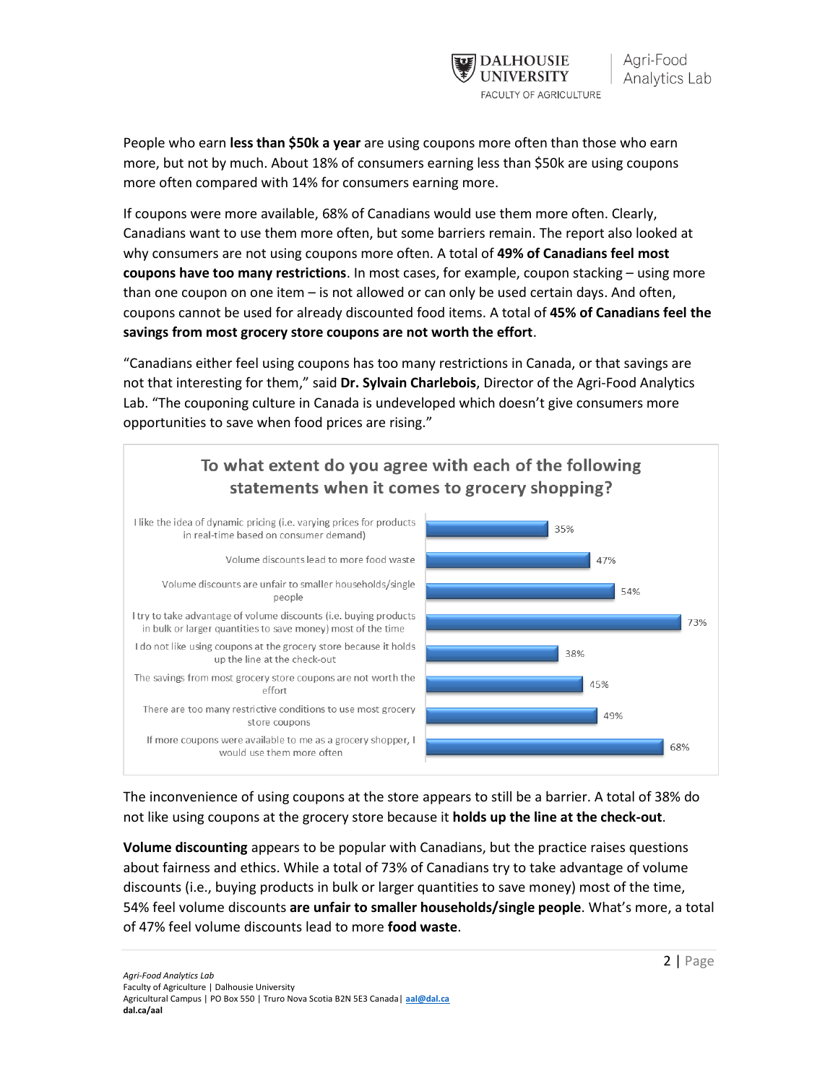

People who earn **less than \$50k a year** are using coupons more often than those who earn more, but not by much. About 18% of consumers earning less than \$50k are using coupons more often compared with 14% for consumers earning more.

If coupons were more available, 68% of Canadians would use them more often. Clearly, Canadians want to use them more often, but some barriers remain. The report also looked at why consumers are not using coupons more often. A total of **49% of Canadians feel most coupons have too many restrictions**. In most cases, for example, coupon stacking – using more than one coupon on one item – is not allowed or can only be used certain days. And often, coupons cannot be used for already discounted food items. A total of **45% of Canadians feel the savings from most grocery store coupons are not worth the effort**.

"Canadians either feel using coupons has too many restrictions in Canada, or that savings are not that interesting for them," said **Dr. Sylvain Charlebois**, Director of the Agri-Food Analytics Lab. "The couponing culture in Canada is undeveloped which doesn't give consumers more opportunities to save when food prices are rising."



The inconvenience of using coupons at the store appears to still be a barrier. A total of 38% do not like using coupons at the grocery store because it **holds up the line at the check-out**.

**Volume discounting** appears to be popular with Canadians, but the practice raises questions about fairness and ethics. While a total of 73% of Canadians try to take advantage of volume discounts (i.e., buying products in bulk or larger quantities to save money) most of the time, 54% feel volume discounts **are unfair to smaller households/single people**. What's more, a total of 47% feel volume discounts lead to more **food waste**.